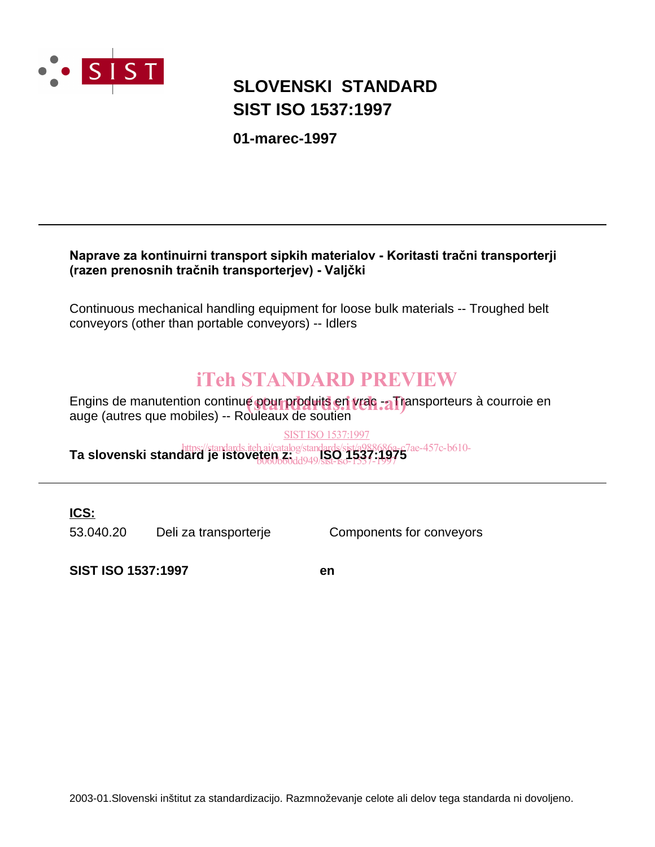

### **SIST ISO 1537:1997 SLOVENSKI STANDARD**

**01-marec-1997**

### Naprave za kontinuirni transport sipkih materialov - Koritasti tračni transporterji (razen prenosnih tračnih transporterjev) - Valjčki

Continuous mechanical handling equipment for loose bulk materials -- Troughed belt conveyors (other than portable conveyors) -- Idlers

# iTeh STANDARD PREVIEW

Engins de manutention continue pour produits en vrac -- Transporteurs à courroie en Engins de manutention continu**é ppur produits en vras : aTj**a<br>auge (autres que mobiles) -- Rouleaux de soutien

**Ta slovenski standard je istoveten ai/catalog/standards/sist/a988686a-c7ae-457c-b610-**<br>**Ta slovenski standard je istoveten z:** Jago 1537:1975 SIST ISO 1537:1997 b060b60dd949/sist-iso-1537-1997

**ICS:**

53.040.20 Deli za transporterje Components for conveyors

**SIST ISO 1537:1997 en**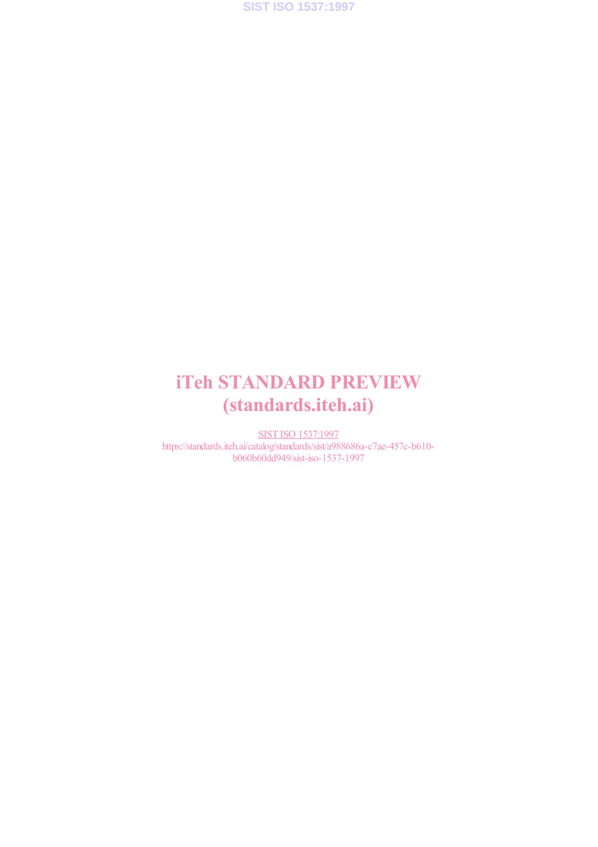**SIST ISO 1537:1997**

# iTeh STANDARD PREVIEW (standards.iteh.ai)

SIST ISO 1537:1997 https://standards.iteh.ai/catalog/standards/sist/a988686a-c7ae-457c-b610 b060b60dd949/sist-iso-1537-1997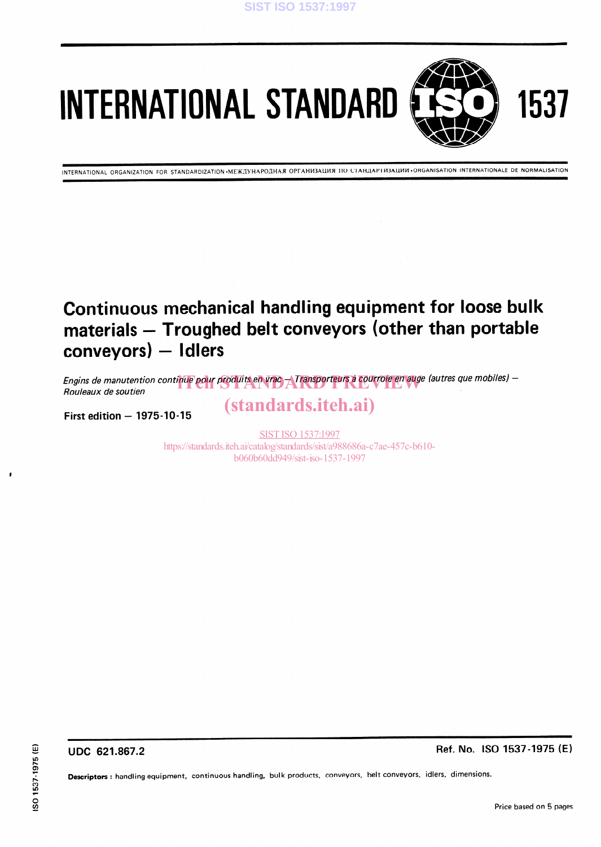



INTERNATIONAL ORGANIZATION FOR STANDARDIZATION MEX, IYHAPO, IHAA OPITAH M3ALIMA IIO CTAH AAPTM3ALIMM ORGANISATION INTERNATIONALE DE NORMALISATION

# Continuous mechanical handling equipment for loose bulk materials - Troughed belt conveyors (other than portable conveyors) - Idlers

Engins de manutention continue pour produits en vrac — Transporteurs à courroie en auge (autres que mobiles) —<br>Rouleaux de soutien Rouleaux de soutien

First edition  $-1975-10-15$ 

(standards.iteh.ai)

SIST ISO 1537:1997 https://standards.iteh.ai/catalog/standards/sist/a988686a-c7ae-457c-b610 b060b60dd949/sist-iso-1537-1997

UDC 621.867.2 Ref. No. ISO 1537-1975 (E)

Descriptors : handling equipment, continuous handling, bulk products, conveyors, belt conveyors, idlers, dimensions. GUDC 621.867.2<br>
Secriptors: handling equipment, continuous handling, bulk products, conveyors, belt conveyors, idlers, dimensions.<br>
Descriptors: handling equipment, continuous handling, bulk products, conveyors, belt conve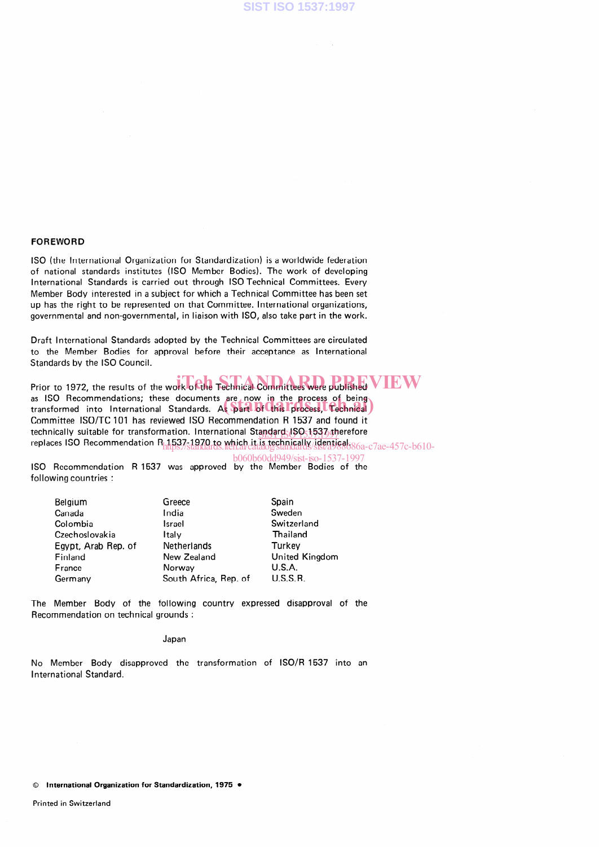#### **SIST ISO 1537:1997**

#### FOREWORD

ISO (the International Organization for Standardization) is a worldwide federation of national Standards institutes (ISO Member Bodies). The work of developing International Standards is carried out through ISO Technical Committees. Every Member Body interested in a subject for which a Technical Committee has been set up has the right to be represented on that Committee. International organizations, governmental and non-governmental, in liaison with ISO, also take part in the work.

Draft International Standards adopted by the Technical Committees are circulated to the Member Bodies for approval before their acceptance as International Standards by the ISO Council.

Prior to 1972, the results of the work of the Technical Committees were published  $VEW$ as ISO Recommendations; these documents are now in the process of being as ISO Recommendations; these documents are now in the process of being<br>transformed into International Standards. As part of this process, Technical) Committee ISO/TC 101 has reviewed ISO Recommendation R 1537 and found it technically suitable for transformation. International Standard ISO 1537 therefore technically suitable for transformation. International Standard (SO-1537, there<br>replaces ISO Recommendation R 1537-1970 to which it is technically identical https://standards.iteh.ai/catalog/standards/sist/a988686a-c7ae-457c-b610-

ISO Recommendation R 1537 was approved by the Member Bodies of the following countries : b060b60dd949/sist-iso-1537-1997

| Belgium             | Greece                | Spain          |
|---------------------|-----------------------|----------------|
| Canada              | India                 | Sweden         |
| Colombia            | Israel                | Switzerland    |
| Czechoslovakia      | Italv                 | Thailand       |
| Egypt, Arab Rep. of | Netherlands           | Turkey         |
| Finland             | New Zealand           | United Kingdom |
| France              | Norway                | U.S.A.         |
| Germany             | South Africa, Rep. of | U.S.S.R.       |

The Member Body of the fol lowing country expressed disapproval of the Recommendation on technical grounds :

Japan

No Member Body disapproved the transformation of ISO/R 1537 into an International Standard.

© International Organization for Standardization, 1975 .

Printed in Switzerland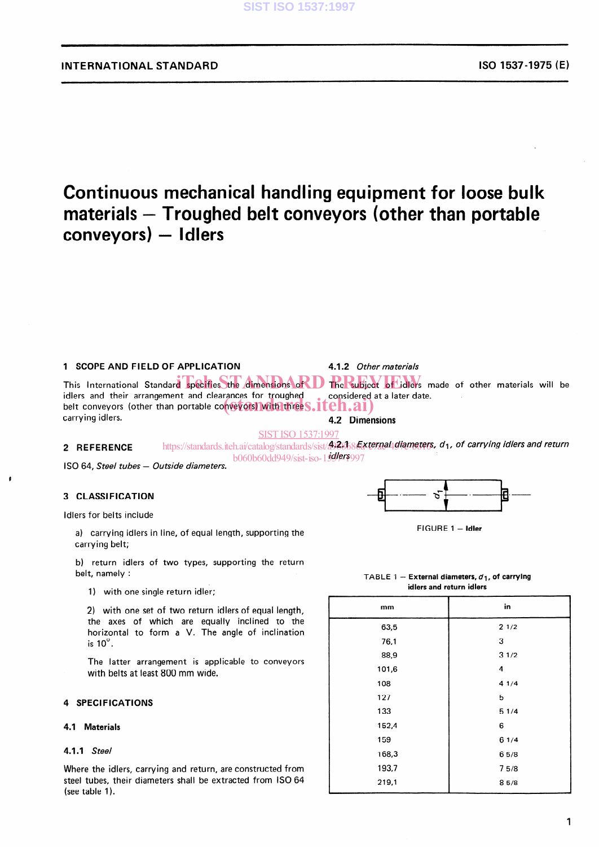Continuous mechanical handling equipment for loose bulk materials - Troughed belt conveyors (other than portable conveyors) - Idlers

#### 1 SCOPE AND FIELD OF APPLICATION

4.1.2 Other materials

This International Standard specifies the dimensions of D RePsubject of Jdlers m idlers and their arrangement and clearances for troughed idiers and their arrangement and clearances for troughed<br>belt conveyors (other than portable conveyors) with three S.iteh.ai) carrying idlers. The subject of idlers made of other materials will be considered at a later date. 4.2 Dimensions

SIST ISO 1537:1997

#### 2 REFERENCE

### https://standards.iteh.ai/catalog/standards/sist/**492**868*ExternalAdiameters, d<sub>1</sub>, of carrying idlers and returr*

ISO 64, Steel tubes - Outside diameters. b060b60dd949/sist-iso-153/er5997

### 3 CLASSIFICATION

Idlers for belts include

a) carrying idlers in line, of equal length, supporting the carrying belt;

b) return idlers of two types, supporting the return belt, namely :

1) with one single return idler;

2) with one set of two return idlers of equal length, the axes of which are equally inclined to the horizontal to form a V. The angle of inclination is  $10^\circ$ .

The latter arrangement is applicable to conveyors with belts at least 800 mm wide.

#### 4 SPECIFICATIONS

#### 4.1 Materials

#### 4.1.1 Steel

Where the idlers, carrying and return, are constructed from steel tubes, their diameters shall be extracted from ISO 64 (see table 1).

l\*-

FIGURE 1 - Idler

TABLE 1 - External diameters,  $d_1$ , of carrying idlers and return idlers

| mm    | in   |
|-------|------|
| 63,5  | 21/2 |
| 76,1  | 3    |
| 88,9  | 31/2 |
| 101,6 | 4    |
| 108   | 41/4 |
| 127   | 5    |
| 133   | 51/4 |
| 152,4 | 6    |
| 159   | 61/4 |
| 168,3 | 65/8 |
| 193,7 | 75/8 |
| 219,1 | 85/8 |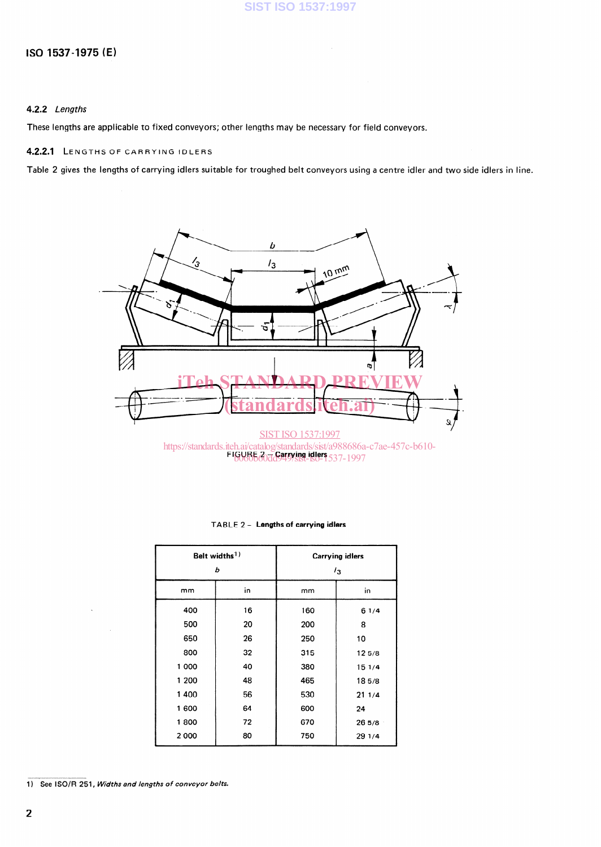### ISO 1537-1975 (E)

#### 4.2.2 Lengths

These lengths are applicable to fixed conveyors; other lengths may be necessary for field conveyors.

#### 4.2.2.1 LENGTHS OF CARRYING IDLERS

Table 2 gives the lengths of carrying idlers suitable for troughed belt conveyors using a centre idler and two side idlers in line.



| Belt widths <sup>1)</sup><br>b |    | <b>Carrying idlers</b><br>1 <sub>3</sub> |        |  |
|--------------------------------|----|------------------------------------------|--------|--|
| mm                             | in | mm                                       | in     |  |
| 400                            | 16 | 160                                      | 61/4   |  |
| 500                            | 20 | 200                                      | 8      |  |
| 650                            | 26 | 250                                      | 10     |  |
| 800                            | 32 | 315                                      | 125/8  |  |
| 1 000                          | 40 | 380                                      | 15 1/4 |  |
| 1 200                          | 48 | 465                                      | 185/8  |  |
| 1400                           | 56 | 530                                      | 211/4  |  |
| 1600                           | 64 | 600                                      | 24     |  |
| 1800                           | 72 | 670                                      | 265/8  |  |
| 2000                           | 80 | 750                                      | 29 1/4 |  |

#### TABLE 2 - Lengths of carrying idlers

1) See ISO/R 251, Widths and lengths of conveyor belts.

 $\hat{\mathcal{A}}$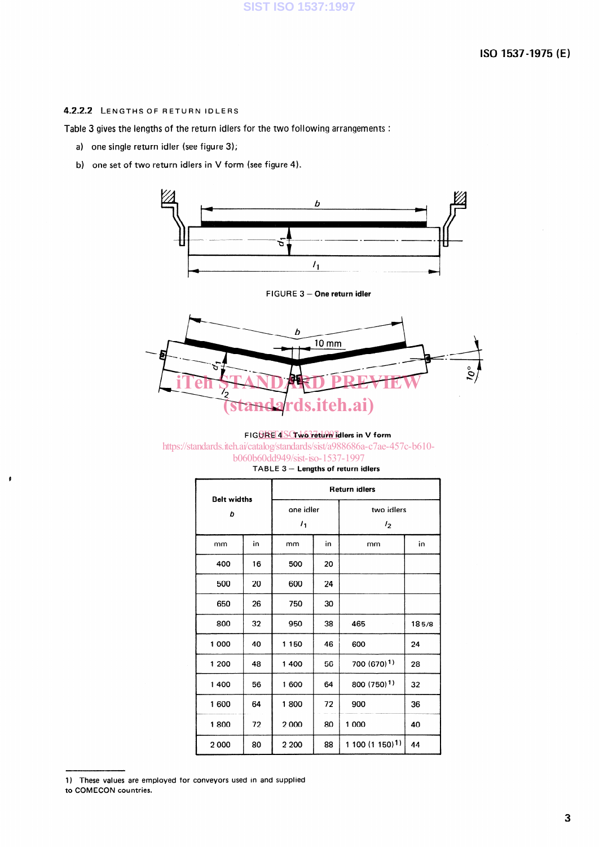#### 4.2.2.2 LENGTHS OF RETURN IDLERS

Table 3 gives the lengths of the return idlers for the two following arrangements :

- a) one single return idler (see figure 3);
- b) one set of two return idlers in V form (see figure 4).



FIGURE 3 - One return idler



#### FIG<u>ÜRET4ISOTwo?return id</u>lers in V forr

https://standards.iteh.ai/catalog/standards/sist/a988686a-c7ae-457c-b610-

| <b>Belt widths</b><br>b |    | <b>Return idlers</b>        |    |                              |       |  |
|-------------------------|----|-----------------------------|----|------------------------------|-------|--|
|                         |    | one idler<br>$\mathbf{I}_1$ |    | two idlers<br>I <sub>2</sub> |       |  |
| mm                      | in | mm                          | in | mm                           | in    |  |
| 400                     | 16 | 500                         | 20 |                              |       |  |
| 500                     | 20 | 600                         | 24 |                              |       |  |
| 650                     | 26 | 750                         | 30 |                              |       |  |
| 800                     | 32 | 950                         | 38 | 465                          | 185/8 |  |
| 1000                    | 40 | 1 1 5 0                     | 46 | 600                          | 24    |  |
| 1 200                   | 48 | 1400                        | 56 | 700 (670) <sup>1)</sup>      | 28    |  |
| 1400                    | 56 | 1600                        | 64 | 800 (750) <sup>1)</sup>      | 32    |  |
| 1600                    | 64 | 1800                        | 72 | 900                          | 36    |  |
| 1800                    | 72 | 2000                        | 80 | 1 000                        | 40    |  |
| 2000                    | 80 | 2 200                       | 88 | 1 100 (1 150) <sup>1)</sup>  | 44    |  |

 $b060b60d0949/sist-is0-1537-1997$ <br>TABLE 3 - Lengths of return idlers

<sup>1)</sup> These values are employed for conveyors used in and supplied to COMECON countries.